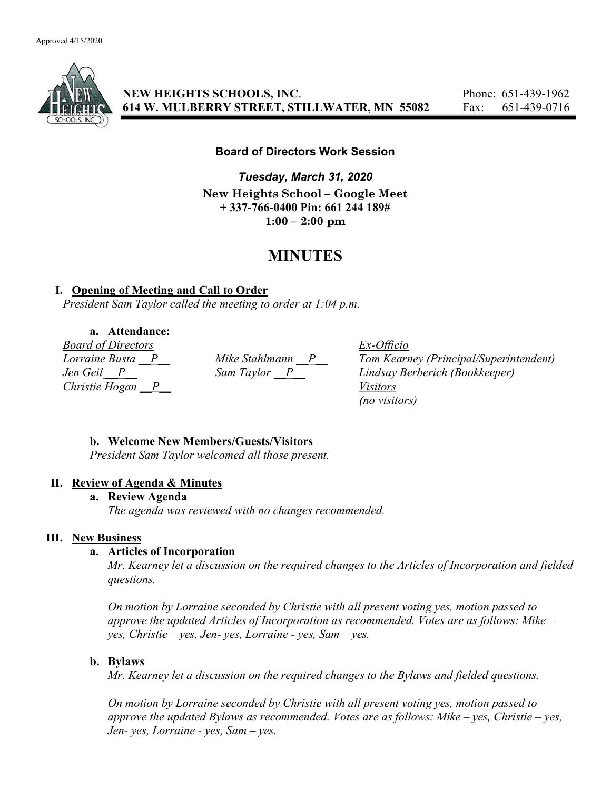

NEW HEIGHTS SCHOOLS, INC. Phone: 651-439-1962 614 W. MULBERRY STREET, STILLWATER, MN 55082 Fax: 651-439-0716

### Board of Directors Work Session

Tuesday, March 31, 2020 New Heights School – Google Meet + 337-766-0400 Pin: 661 244 189#  $1:00 - 2:00$  pm

# MINUTES

### I. Opening of Meeting and Call to Order

President Sam Taylor called the meeting to order at 1:04 p.m.

a. Attendance:

*Board of Directors*<br> *Lorraine Busta* <u>P</u> *Mike Stahlmann* P *Iom Kearn* Christie Hogan P Visitors

Mike Stahlmann  $\underline{P}$  Tom Kearney (Principal/Superintendent)<br>Sam Taylor  $\underline{P}$  Lindsay Berberich (Bookkeeper) Jen Geil \_\_P\_\_ Sam Taylor \_\_P\_\_ Lindsay Berberich (Bookkeeper) (no visitors)

## b. Welcome New Members/Guests/Visitors

President Sam Taylor welcomed all those present.

#### II. Review of Agenda & Minutes

a. Review Agenda

The agenda was reviewed with no changes recommended.

#### III. New Business

## a. Articles of Incorporation

Mr. Kearney let a discussion on the required changes to the Articles of Incorporation and fielded questions.

On motion by Lorraine seconded by Christie with all present voting yes, motion passed to approve the updated Articles of Incorporation as recommended. Votes are as follows: Mike – yes, Christie – yes, Jen- yes, Lorraine - yes, Sam – yes.

## b. Bylaws

Mr. Kearney let a discussion on the required changes to the Bylaws and fielded questions.

On motion by Lorraine seconded by Christie with all present voting yes, motion passed to approve the updated Bylaws as recommended. Votes are as follows: Mike – yes, Christie – yes, Jen- yes, Lorraine - yes, Sam  $-$  yes.